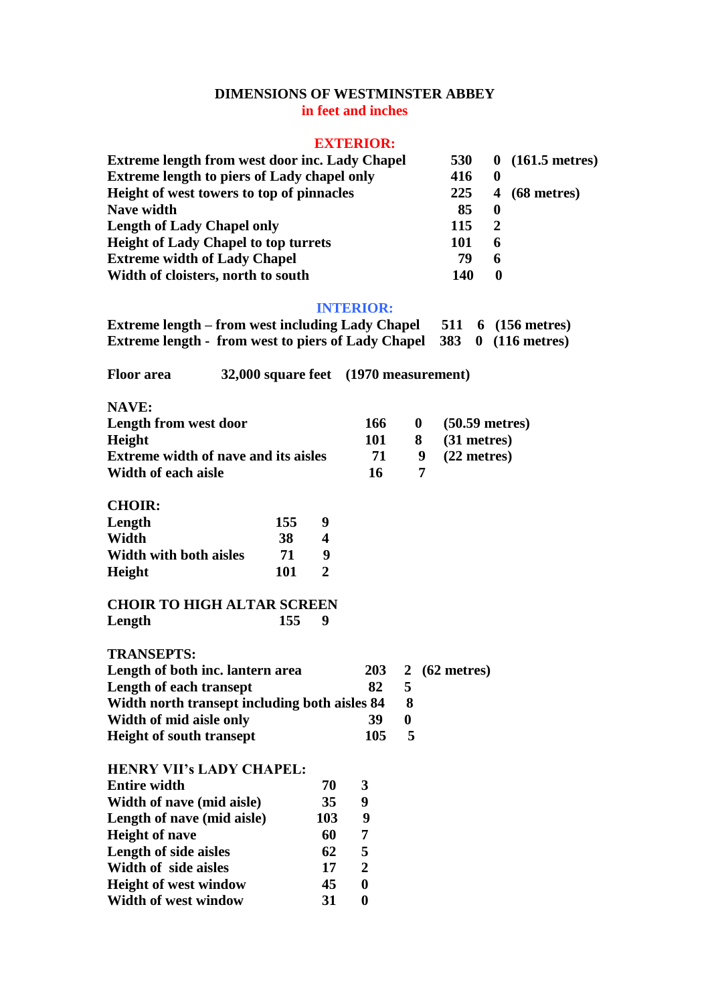## **DIMENSIONS OF WESTMINSTER ABBEY in feet and inches**

## **EXTERIOR:**

| <b>Extreme length from west door inc. Lady Chapel</b> | <b>530</b> |             | $0(161.5$ metres) |
|-------------------------------------------------------|------------|-------------|-------------------|
| <b>Extreme length to piers of Lady chapel only</b>    | 416        | $\mathbf 0$ |                   |
| Height of west towers to top of pinnacles             | 225        |             | $4(68$ metres)    |
| Nave width                                            | 85         | $\mathbf 0$ |                   |
| <b>Length of Lady Chapel only</b>                     | 115        | 2           |                   |
| <b>Height of Lady Chapel to top turrets</b>           | 101        | 6           |                   |
| <b>Extreme width of Lady Chapel</b>                   | 79         | 6           |                   |
| Width of cloisters, north to south                    | 140        | $\mathbf 0$ |                   |

## **INTERIOR:**

**Extreme length – from west including Lady Chapel 511 6 (156 metres) Extreme length - from west to piers of Lady Chapel 383 0 (116 metres)**

**Floor area 32,000 square feet (1970 measurement)**

| Length from west door                       | 166 |     | $0 \quad (50.59 \text{ metres})$ |
|---------------------------------------------|-----|-----|----------------------------------|
| Height                                      | 101 |     | 8 (31 metres)                    |
| <b>Extreme width of nave and its aisles</b> | 71  | - 9 | $(22$ metres)                    |
| Width of each aisle                         | 16  |     |                                  |

**CHOIR:**

| Length                        | 155 | q |
|-------------------------------|-----|---|
| Width                         | 38  | 4 |
| <b>Width with both aisles</b> | 71  | g |
| Height                        | 101 | 2 |

## **CHOIR TO HIGH ALTAR SCREEN Length 155 9**

**TRANSEPTS:**

| Length of both inc. lantern area              |     |   | 203 2 (62 metres) |
|-----------------------------------------------|-----|---|-------------------|
| Length of each transept                       | 82  |   |                   |
| Width north transept including both aisles 84 |     |   |                   |
| Width of mid aisle only                       | 39  |   |                   |
| <b>Height of south transept</b>               | 105 | 5 |                   |

| <b>HENRY VII's LADY CHAPEL:</b> |   |
|---------------------------------|---|
| 70                              | 3 |
| 35                              | 9 |
| 103                             | 9 |
| 60                              | 7 |
| 62                              | 5 |
| 17                              | 2 |
| 45                              | 0 |
| 31                              |   |
|                                 |   |